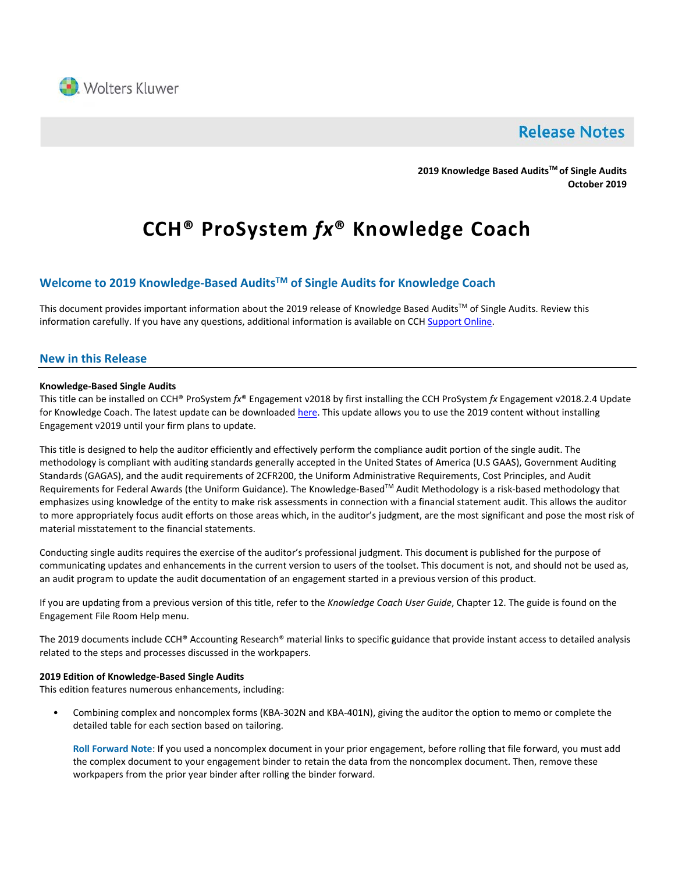

# **Release Notes**

**2019 Knowledge Based AuditsTM of Single Audits October 2019**

# **CCH® ProSystem** *fx***® Knowledge Coach**

## **Welcome to 2019 Knowledge-Based AuditsTM of Single Audits for Knowledge Coach**

This document provides important information about the 2019 release of Knowledge Based Audits<sup>TM</sup> of Single Audits. Review this information carefully. If you have any questions, additional information is available on CCH [Support Online.](http://support.cch.com/productsupport/)

#### **New in this Release**

#### **Knowledge-Based Single Audits**

This title can be installed on CCH® ProSystem *fx*® Engagement v2018 by first installing the CCH ProSystem *fx* Engagement v2018.2.4 Update for Knowledge Coach. The latest update can be downloaded [here.](https://support.cch.com/updates/Engagement/release2018/release2018.aspx) This update allows you to use the 2019 content without installing Engagement v2019 until your firm plans to update.

This title is designed to help the auditor efficiently and effectively perform the compliance audit portion of the single audit. The methodology is compliant with auditing standards generally accepted in the United States of America (U.S GAAS), Government Auditing Standards (GAGAS), and the audit requirements of 2CFR200, the Uniform Administrative Requirements, Cost Principles, and Audit Requirements for Federal Awards (the Uniform Guidance). The Knowledge-Based™ Audit Methodology is a risk-based methodology that emphasizes using knowledge of the entity to make risk assessments in connection with a financial statement audit. This allows the auditor to more appropriately focus audit efforts on those areas which, in the auditor's judgment, are the most significant and pose the most risk of material misstatement to the financial statements.

Conducting single audits requires the exercise of the auditor's professional judgment. This document is published for the purpose of communicating updates and enhancements in the current version to users of the toolset. This document is not, and should not be used as, an audit program to update the audit documentation of an engagement started in a previous version of this product.

If you are updating from a previous version of this title, refer to the *Knowledge Coach User Guide*, Chapter 12. The guide is found on the Engagement File Room Help menu.

The 2019 documents include CCH® Accounting Research® material links to specific guidance that provide instant access to detailed analysis related to the steps and processes discussed in the workpapers.

#### **2019 Edition of Knowledge-Based Single Audits**

This edition features numerous enhancements, including:

• Combining complex and noncomplex forms (KBA-302N and KBA-401N), giving the auditor the option to memo or complete the detailed table for each section based on tailoring.

**Roll Forward Note**: If you used a noncomplex document in your prior engagement, before rolling that file forward, you must add the complex document to your engagement binder to retain the data from the noncomplex document. Then, remove these workpapers from the prior year binder after rolling the binder forward.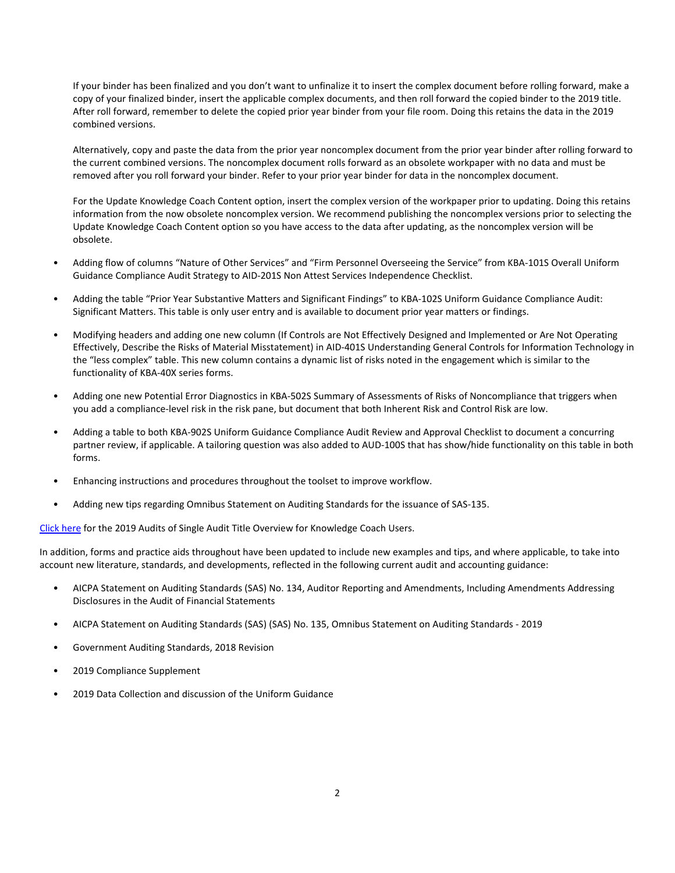If your binder has been finalized and you don't want to unfinalize it to insert the complex document before rolling forward, make a copy of your finalized binder, insert the applicable complex documents, and then roll forward the copied binder to the 2019 title. After roll forward, remember to delete the copied prior year binder from your file room. Doing this retains the data in the 2019 combined versions.

Alternatively, copy and paste the data from the prior year noncomplex document from the prior year binder after rolling forward to the current combined versions. The noncomplex document rolls forward as an obsolete workpaper with no data and must be removed after you roll forward your binder. Refer to your prior year binder for data in the noncomplex document.

For the Update Knowledge Coach Content option, insert the complex version of the workpaper prior to updating. Doing this retains information from the now obsolete noncomplex version. We recommend publishing the noncomplex versions prior to selecting the Update Knowledge Coach Content option so you have access to the data after updating, as the noncomplex version will be obsolete.

- Adding flow of columns "Nature of Other Services" and "Firm Personnel Overseeing the Service" from KBA-101S Overall Uniform Guidance Compliance Audit Strategy to AID-201S Non Attest Services Independence Checklist.
- Adding the table "Prior Year Substantive Matters and Significant Findings" to KBA-102S Uniform Guidance Compliance Audit: Significant Matters. This table is only user entry and is available to document prior year matters or findings.
- Modifying headers and adding one new column (If Controls are Not Effectively Designed and Implemented or Are Not Operating Effectively, Describe the Risks of Material Misstatement) in AID-401S Understanding General Controls for Information Technology in the "less complex" table. This new column contains a dynamic list of risks noted in the engagement which is similar to the functionality of KBA-40X series forms.
- Adding one new Potential Error Diagnostics in KBA-502S Summary of Assessments of Risks of Noncompliance that triggers when you add a compliance-level risk in the risk pane, but document that both Inherent Risk and Control Risk are low.
- Adding a table to both KBA-902S Uniform Guidance Compliance Audit Review and Approval Checklist to document a concurring partner review, if applicable. A tailoring question was also added to AUD-100S that has show/hide functionality on this table in both forms.
- Enhancing instructions and procedures throughout the toolset to improve workflow.
- Adding new tips regarding Omnibus Statement on Auditing Standards for the issuance of SAS-135.

[Click here](http://support.cch.com/updates/KnowledgeCoach/pdf/guides_tab/2019%20Single%20Audit%20Title%20Overview%20for%20Knowledge%20Coach%20Users.pdf) for the 2019 Audits of Single Audit Title Overview for Knowledge Coach Users.

In addition, forms and practice aids throughout have been updated to include new examples and tips, and where applicable, to take into account new literature, standards, and developments, reflected in the following current audit and accounting guidance:

- AICPA Statement on Auditing Standards (SAS) No. 134, Auditor Reporting and Amendments, Including Amendments Addressing Disclosures in the Audit of Financial Statements
- AICPA Statement on Auditing Standards (SAS) (SAS) No. 135, Omnibus Statement on Auditing Standards 2019
- Government Auditing Standards, 2018 Revision
- 2019 Compliance Supplement
- 2019 Data Collection and discussion of the Uniform Guidance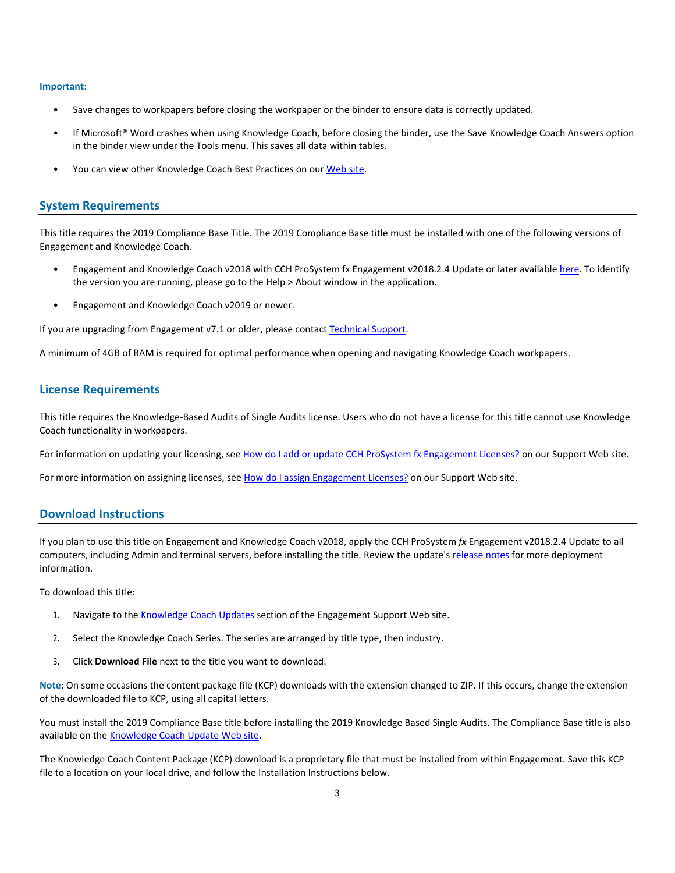#### **Important:**

- Save changes to workpapers before closing the workpaper or the binder to ensure data is correctly updated.
- If Microsoft® Word crashes when using Knowledge Coach, before closing the binder, use the Save Knowledge Coach Answers option in the binder view under the Tools menu. This saves all data within tables.
- You can view other Knowledge Coach Best Practices on ou[r Web](https://support.cch.com/kb/solution/000034942/sw34947) site.

#### **System Requirements**

This title requires the 2019 Compliance Base Title. The 2019 Compliance Base title must be installed with one of the following versions of Engagement and Knowledge Coach.

- Engagement and Knowledge Coach v2018 with CCH ProSystem fx Engagement v2018.2.4 Update or later available [here.](https://support.cch.com/updates/Engagement/release2018/release2018.aspx) To identify the version you are running, please go to the Help > About window in the application.
- Engagement and Knowledge Coach v2019 or newer.

If you are upgrading from Engagement v7.1 or older, please contact [Technical Support.](https://support.cch.com/contact)

A minimum of 4GB of RAM is required for optimal performance when opening and navigating Knowledge Coach workpapers.

#### **License Requirements**

This title requires the Knowledge-Based Audits of Single Audits license. Users who do not have a license for this title cannot use Knowledge Coach functionality in workpapers.

For information on updating your licensing, see [How do I add or update CCH ProSystem fx Engagement Licenses?](https://support.cch.com/kb/solution.aspx/sw3937) on our Support Web site.

For more information on assigning licenses, see [How do I assign Engagement Licenses?](https://support.cch.com/kb/solution.aspx/sw3943) on our Support Web site.

#### **Download Instructions**

If you plan to use this title on Engagement and Knowledge Coach v2018, apply the CCH ProSystem *fx* Engagement v2018.2.4 Update to all computers, including Admin and terminal servers, before installing the title. Review the update's [release notes](https://d2iceilwdglxpz.cloudfront.net/release_notes/CCH%20ProSystem%20fx%20Engagement%202018.2.4%20Release%20Notes.pdf) for more deployment information.

To download this title:

- 1. Navigate to the [Knowledge Coach Updates](http://support.cch.com/updates/KnowledgeCoach) section of the Engagement Support Web site.
- 2. Select the Knowledge Coach Series. The series are arranged by title type, then industry.
- 3. Click **Download File** next to the title you want to download.

**Note**: On some occasions the content package file (KCP) downloads with the extension changed to ZIP. If this occurs, change the extension of the downloaded file to KCP, using all capital letters.

You must install the 2019 Compliance Base title before installing the 2019 Knowledge Based Single Audits. The Compliance Base title is also available on th[e Knowledge Coach Update Web](http://support.cch.com/updates/KnowledgeCoach) site.

The Knowledge Coach Content Package (KCP) download is a proprietary file that must be installed from within Engagement. Save this KCP file to a location on your local drive, and follow the Installation Instructions below.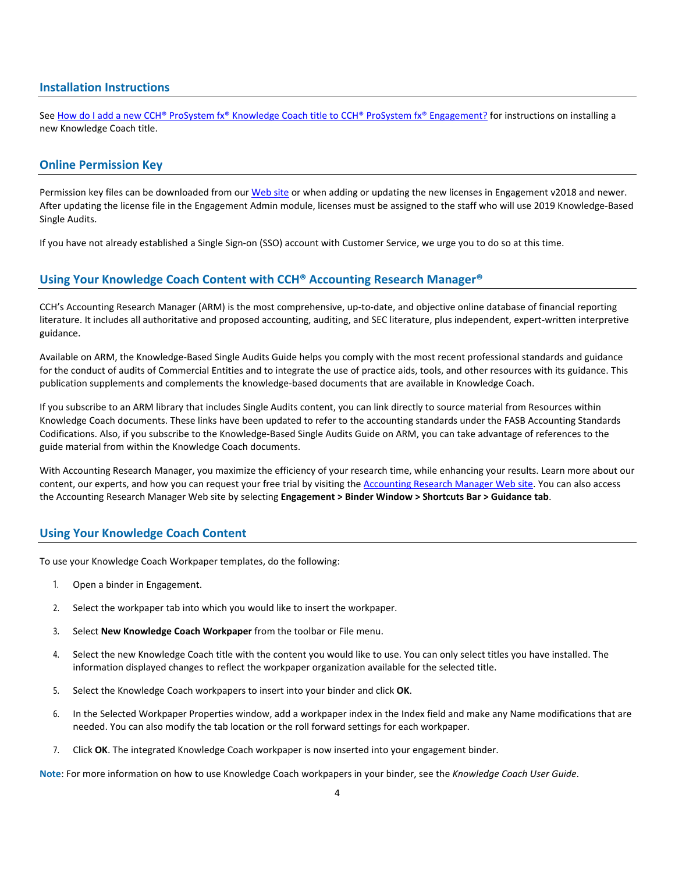#### **Installation Instructions**

See [How do I add a new CCH® ProSystem fx® Knowledge Coach title to CCH® ProSystem fx® Engagement?](https://support.cch.com/kb/solution/000033707/sw30271) for instructions on installing a new Knowledge Coach title.

#### **Online Permission Key**

Permission key files can be downloaded from our [Web](https://prosystemfxsupport.tax.cchgroup.com/permkey/download.aspx) site or when adding or updating the new licenses in Engagement v2018 and newer. After updating the license file in the Engagement Admin module, licenses must be assigned to the staff who will use 2019 Knowledge-Based Single Audits.

If you have not already established a Single Sign-on (SSO) account with Customer Service, we urge you to do so at this time.

#### **Using Your Knowledge Coach Content with CCH® Accounting Research Manager®**

CCH's Accounting Research Manager (ARM) is the most comprehensive, up-to-date, and objective online database of financial reporting literature. It includes all authoritative and proposed accounting, auditing, and SEC literature, plus independent, expert-written interpretive guidance.

Available on ARM, the Knowledge-Based Single Audits Guide helps you comply with the most recent professional standards and guidance for the conduct of audits of Commercial Entities and to integrate the use of practice aids, tools, and other resources with its guidance. This publication supplements and complements the knowledge-based documents that are available in Knowledge Coach.

If you subscribe to an ARM library that includes Single Audits content, you can link directly to source material from Resources within Knowledge Coach documents. These links have been updated to refer to the accounting standards under the FASB Accounting Standards Codifications. Also, if you subscribe to the Knowledge-Based Single Audits Guide on ARM, you can take advantage of references to the guide material from within the Knowledge Coach documents.

With Accounting Research Manager, you maximize the efficiency of your research time, while enhancing your results. Learn more about our content, our experts, and how you can request your free trial by visiting the [Accounting Research Manager Web](http://www.accountingresearchmanager.com/) site. You can also access the Accounting Research Manager Web site by selecting **Engagement > Binder Window > Shortcuts Bar > Guidance tab**.

#### **Using Your Knowledge Coach Content**

To use your Knowledge Coach Workpaper templates, do the following:

- 1. Open a binder in Engagement.
- 2. Select the workpaper tab into which you would like to insert the workpaper.
- 3. Select **New Knowledge Coach Workpaper** from the toolbar or File menu.
- 4. Select the new Knowledge Coach title with the content you would like to use. You can only select titles you have installed. The information displayed changes to reflect the workpaper organization available for the selected title.
- 5. Select the Knowledge Coach workpapers to insert into your binder and click **OK**.
- 6. In the Selected Workpaper Properties window, add a workpaper index in the Index field and make any Name modifications that are needed. You can also modify the tab location or the roll forward settings for each workpaper.
- 7. Click **OK**. The integrated Knowledge Coach workpaper is now inserted into your engagement binder.

**Note**: For more information on how to use Knowledge Coach workpapers in your binder, see the *Knowledge Coach User Guide*.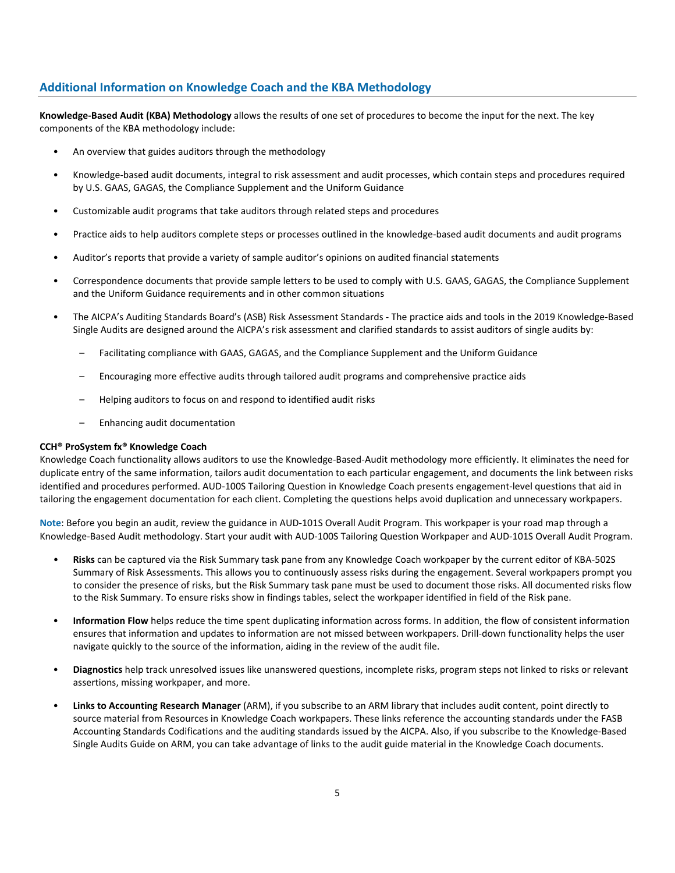## **Additional Information on Knowledge Coach and the KBA Methodology**

**Knowledge-Based Audit (KBA) Methodology** allows the results of one set of procedures to become the input for the next. The key components of the KBA methodology include:

- An overview that guides auditors through the methodology
- Knowledge-based audit documents, integral to risk assessment and audit processes, which contain steps and procedures required by U.S. GAAS, GAGAS, the Compliance Supplement and the Uniform Guidance
- Customizable audit programs that take auditors through related steps and procedures
- Practice aids to help auditors complete steps or processes outlined in the knowledge-based audit documents and audit programs
- Auditor's reports that provide a variety of sample auditor's opinions on audited financial statements
- Correspondence documents that provide sample letters to be used to comply with U.S. GAAS, GAGAS, the Compliance Supplement and the Uniform Guidance requirements and in other common situations
- The AICPA's Auditing Standards Board's (ASB) Risk Assessment Standards The practice aids and tools in the 2019 Knowledge-Based Single Audits are designed around the AICPA's risk assessment and clarified standards to assist auditors of single audits by:
	- Facilitating compliance with GAAS, GAGAS, and the Compliance Supplement and the Uniform Guidance
	- Encouraging more effective audits through tailored audit programs and comprehensive practice aids
	- Helping auditors to focus on and respond to identified audit risks
	- Enhancing audit documentation

#### **CCH® ProSystem fx® Knowledge Coach**

Knowledge Coach functionality allows auditors to use the Knowledge-Based-Audit methodology more efficiently. It eliminates the need for duplicate entry of the same information, tailors audit documentation to each particular engagement, and documents the link between risks identified and procedures performed. AUD-100S Tailoring Question in Knowledge Coach presents engagement-level questions that aid in tailoring the engagement documentation for each client. Completing the questions helps avoid duplication and unnecessary workpapers.

**Note**: Before you begin an audit, review the guidance in AUD-101S Overall Audit Program. This workpaper is your road map through a Knowledge-Based Audit methodology. Start your audit with AUD-100S Tailoring Question Workpaper and AUD-101S Overall Audit Program.

- **Risks** can be captured via the Risk Summary task pane from any Knowledge Coach workpaper by the current editor of KBA-502S Summary of Risk Assessments. This allows you to continuously assess risks during the engagement. Several workpapers prompt you to consider the presence of risks, but the Risk Summary task pane must be used to document those risks. All documented risks flow to the Risk Summary. To ensure risks show in findings tables, select the workpaper identified in field of the Risk pane.
- **Information Flow** helps reduce the time spent duplicating information across forms. In addition, the flow of consistent information ensures that information and updates to information are not missed between workpapers. Drill-down functionality helps the user navigate quickly to the source of the information, aiding in the review of the audit file.
- **Diagnostics** help track unresolved issues like unanswered questions, incomplete risks, program steps not linked to risks or relevant assertions, missing workpaper, and more.
- **Links to Accounting Research Manager** (ARM), if you subscribe to an ARM library that includes audit content, point directly to source material from Resources in Knowledge Coach workpapers. These links reference the accounting standards under the FASB Accounting Standards Codifications and the auditing standards issued by the AICPA. Also, if you subscribe to the Knowledge-Based Single Audits Guide on ARM, you can take advantage of links to the audit guide material in the Knowledge Coach documents.